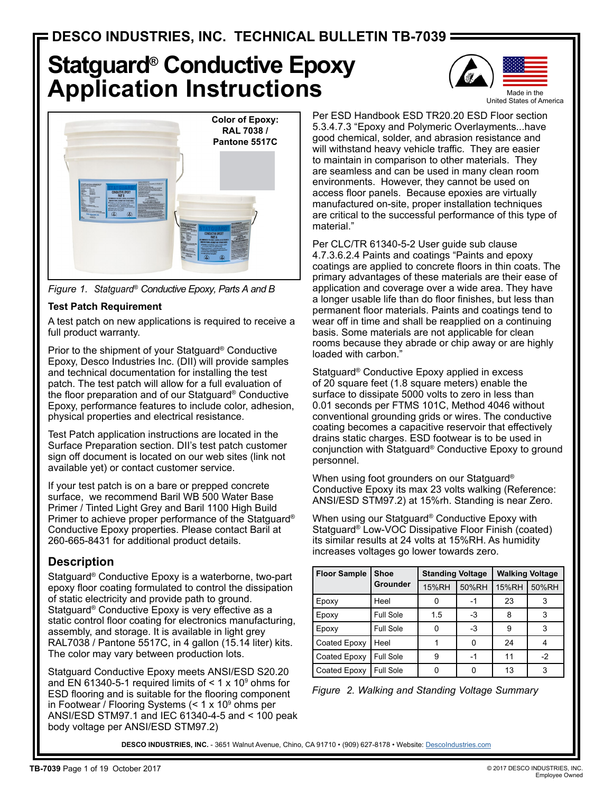# **Statguard® Conductive Epoxy Application Instructions**







### **Test Patch Requirement**

A test patch on new applications is required to receive a full product warranty.

Prior to the shipment of your Statguard® Conductive Epoxy, Desco Industries Inc. (DII) will provide samples and technical documentation for installing the test patch. The test patch will allow for a full evaluation of the floor preparation and of our Statguard® Conductive Epoxy, performance features to include color, adhesion, physical properties and electrical resistance.

Test Patch application instructions are located in the Surface Preparation section. DII's test patch customer sign off document is located on our web sites (link not available yet) or contact customer service.

If your test patch is on a bare or prepped concrete surface, we recommend Baril WB 500 Water Base Primer / Tinted Light Grey and Baril 1100 High Build Primer to achieve proper performance of the Statguard® Conductive Epoxy properties. Please contact Baril at 260-665-8431 for additional product details.

# **Description**

Statguard® Conductive Epoxy is a waterborne, two-part epoxy floor coating formulated to control the dissipation of static electricity and provide path to ground. Statguard® Conductive Epoxy is very effective as a static control floor coating for electronics manufacturing, assembly, and storage. It is available in light grey RAL7038 / Pantone 5517C, in 4 gallon (15.14 liter) kits. The color may vary between production lots.

Statguard Conductive Epoxy meets ANSI/ESD S20.20 and EN 61340-5-1 required limits of  $\leq 1 \times 10^9$  ohms for ESD flooring and is suitable for the flooring component in Footwear / Flooring Systems (< 1 x 10º ohms per ANSI/ESD STM97.1 and IEC 61340-4-5 and < 100 peak body voltage per ANSI/ESD STM97.2)

Per ESD Handbook ESD TR20.20 ESD Floor section 5.3.4.7.3 "Epoxy and Polymeric Overlayments...have good chemical, solder, and abrasion resistance and will withstand heavy vehicle traffic. They are easier to maintain in comparison to other materials. They are seamless and can be used in many clean room environments. However, they cannot be used on access floor panels. Because epoxies are virtually manufactured on-site, proper installation techniques are critical to the successful performance of this type of material."

Per CLC/TR 61340-5-2 User guide sub clause 4.7.3.6.2.4 Paints and coatings "Paints and epoxy coatings are applied to concrete floors in thin coats. The primary advantages of these materials are their ease of application and coverage over a wide area. They have a longer usable life than do floor finishes, but less than permanent floor materials. Paints and coatings tend to wear off in time and shall be reapplied on a continuing basis. Some materials are not applicable for clean rooms because they abrade or chip away or are highly loaded with carbon."

Statguard® Conductive Epoxy applied in excess of 20 square feet (1.8 square meters) enable the surface to dissipate 5000 volts to zero in less than 0.01 seconds per FTMS 101C, Method 4046 without conventional grounding grids or wires. The conductive coating becomes a capacitive reservoir that effectively drains static charges. ESD footwear is to be used in conjunction with Statguard® Conductive Epoxy to ground personnel.

When using foot grounders on our Statguard® Conductive Epoxy its max 23 volts walking (Reference: ANSI/ESD STM97.2) at 15%rh. Standing is near Zero.

When using our Statguard® Conductive Epoxy with Statguard® Low-VOC Dissipative Floor Finish (coated) its similar results at 24 volts at 15%RH. As humidity increases voltages go lower towards zero.

| <b>Floor Sample</b> | <b>Shoe</b>     | <b>Standing Voltage</b> |       | <b>Walking Voltage</b> |       |
|---------------------|-----------------|-------------------------|-------|------------------------|-------|
|                     | <b>Grounder</b> | 15%RH                   | 50%RH | 15%RH                  | 50%RH |
| Epoxy               | Heel            |                         | -1    | 23                     |       |
| Epoxy               | Full Sole       | 1.5                     | -3    | 8                      |       |
| Epoxy               | Full Sole       |                         | $-3$  | 9                      | З     |
| Coated Epoxy        | Heel            |                         | Ω     | 24                     |       |
| Coated Epoxy        | Full Sole       | 9                       | -1    | 11                     | $-2$  |
| Coated Epoxy        | Full Sole       |                         |       | 13                     |       |



DESCO INDUSTRIES, INC. - 3651 Walnut Avenue, Chino, CA 91710 • (909) 627-8178 • Website: [DescoIndustries.com](http://www.descoindustries.com)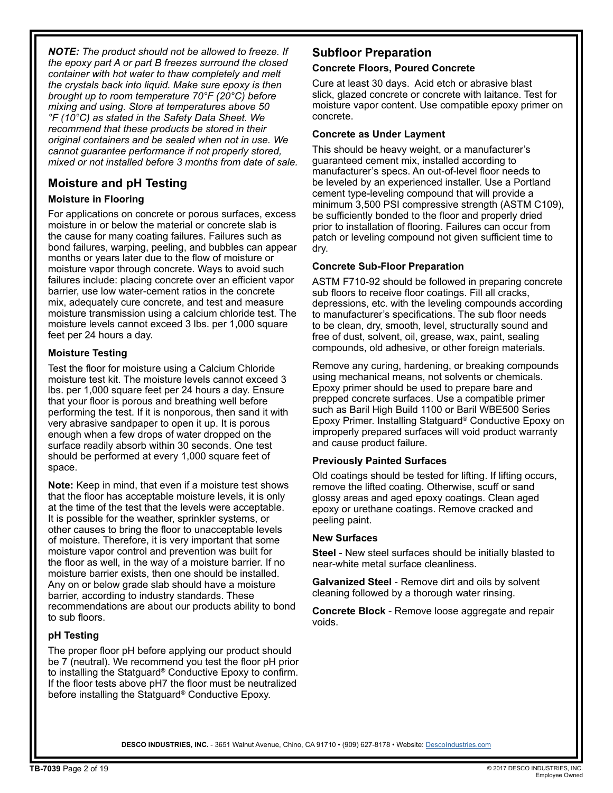*NOTE: The product should not be allowed to freeze. If the epoxy part A or part B freezes surround the closed container with hot water to thaw completely and melt the crystals back into liquid. Make sure epoxy is then brought up to room temperature 70°F (20°C) before mixing and using. Store at temperatures above 50 °F (10°C) as stated in the Safety Data Sheet. We recommend that these products be stored in their original containers and be sealed when not in use. We cannot guarantee performance if not properly stored, mixed or not installed before 3 months from date of sale.*

# **Moisture and pH Testing**

### **Moisture in Flooring**

For applications on concrete or porous surfaces, excess moisture in or below the material or concrete slab is the cause for many coating failures. Failures such as bond failures, warping, peeling, and bubbles can appear months or years later due to the flow of moisture or moisture vapor through concrete. Ways to avoid such failures include: placing concrete over an efficient vapor barrier, use low water-cement ratios in the concrete mix, adequately cure concrete, and test and measure moisture transmission using a calcium chloride test. The moisture levels cannot exceed 3 lbs. per 1,000 square feet per 24 hours a day.

### **Moisture Testing**

Test the floor for moisture using a Calcium Chloride moisture test kit. The moisture levels cannot exceed 3 lbs. per 1,000 square feet per 24 hours a day. Ensure that your floor is porous and breathing well before performing the test. If it is nonporous, then sand it with very abrasive sandpaper to open it up. It is porous enough when a few drops of water dropped on the surface readily absorb within 30 seconds. One test should be performed at every 1,000 square feet of space.

**Note:** Keep in mind, that even if a moisture test shows that the floor has acceptable moisture levels, it is only at the time of the test that the levels were acceptable. It is possible for the weather, sprinkler systems, or other causes to bring the floor to unacceptable levels of moisture. Therefore, it is very important that some moisture vapor control and prevention was built for the floor as well, in the way of a moisture barrier. If no moisture barrier exists, then one should be installed. Any on or below grade slab should have a moisture barrier, according to industry standards. These recommendations are about our products ability to bond to sub floors.

### **pH Testing**

The proper floor pH before applying our product should be 7 (neutral). We recommend you test the floor pH prior to installing the Statguard® Conductive Epoxy to confirm. If the floor tests above pH7 the floor must be neutralized before installing the Statguard® Conductive Epoxy.

# **Subfloor Preparation**

### **Concrete Floors, Poured Concrete**

Cure at least 30 days. Acid etch or abrasive blast slick, glazed concrete or concrete with laitance. Test for moisture vapor content. Use compatible epoxy primer on concrete.

### **Concrete as Under Layment**

This should be heavy weight, or a manufacturer's guaranteed cement mix, installed according to manufacturer's specs. An out-of-level floor needs to be leveled by an experienced installer. Use a Portland cement type-leveling compound that will provide a minimum 3,500 PSI compressive strength (ASTM C109), be sufficiently bonded to the floor and properly dried prior to installation of flooring. Failures can occur from patch or leveling compound not given sufficient time to dry.

### **Concrete Sub-Floor Preparation**

ASTM F710-92 should be followed in preparing concrete sub floors to receive floor coatings. Fill all cracks, depressions, etc. with the leveling compounds according to manufacturer's specifications. The sub floor needs to be clean, dry, smooth, level, structurally sound and free of dust, solvent, oil, grease, wax, paint, sealing compounds, old adhesive, or other foreign materials.

Remove any curing, hardening, or breaking compounds using mechanical means, not solvents or chemicals. Epoxy primer should be used to prepare bare and prepped concrete surfaces. Use a compatible primer such as Baril High Build 1100 or Baril WBE500 Series Epoxy Primer. Installing Statguard® Conductive Epoxy on improperly prepared surfaces will void product warranty and cause product failure.

### **Previously Painted Surfaces**

Old coatings should be tested for lifting. If lifting occurs, remove the lifted coating. Otherwise, scuff or sand glossy areas and aged epoxy coatings. Clean aged epoxy or urethane coatings. Remove cracked and peeling paint.

### **New Surfaces**

**Steel** - New steel surfaces should be initially blasted to near-white metal surface cleanliness.

**Galvanized Steel** - Remove dirt and oils by solvent cleaning followed by a thorough water rinsing.

**Concrete Block** - Remove loose aggregate and repair voids.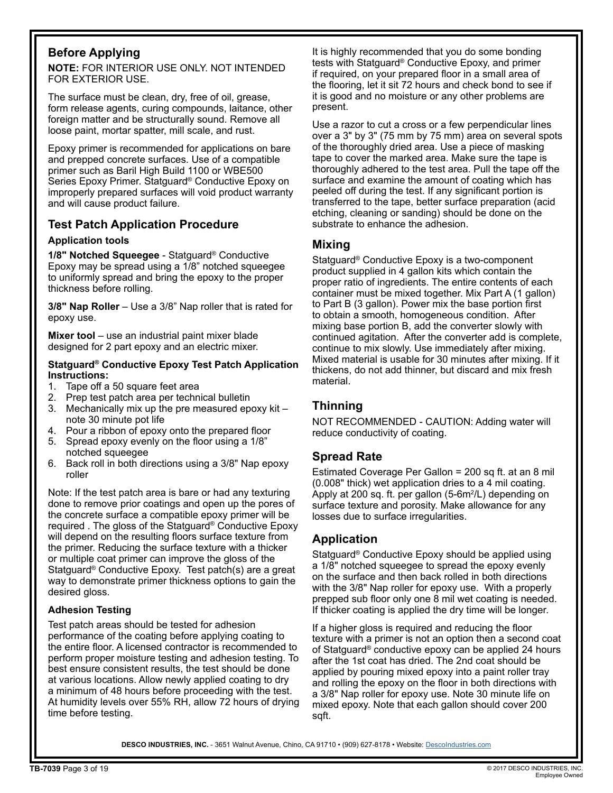# **Before Applying**

**NOTE:** FOR INTERIOR USE ONLY. NOT INTENDED FOR EXTERIOR USE.

The surface must be clean, dry, free of oil, grease, form release agents, curing compounds, laitance, other foreign matter and be structurally sound. Remove all loose paint, mortar spatter, mill scale, and rust.

Epoxy primer is recommended for applications on bare and prepped concrete surfaces. Use of a compatible primer such as Baril High Build 1100 or WBE500 Series Epoxy Primer. Statguard® Conductive Epoxy on improperly prepared surfaces will void product warranty and will cause product failure.

# **Test Patch Application Procedure**

### **Application tools**

**1/8" Notched Squeegee** - Statguard® Conductive Epoxy may be spread using a 1/8" notched squeegee to uniformly spread and bring the epoxy to the proper thickness before rolling.

**3/8" Nap Roller** – Use a 3/8" Nap roller that is rated for epoxy use.

**Mixer tool** – use an industrial paint mixer blade designed for 2 part epoxy and an electric mixer.

### **Statguard® Conductive Epoxy Test Patch Application Instructions:**

- 1. Tape off a 50 square feet area
- 2. Prep test patch area per technical bulletin
- 3. Mechanically mix up the pre measured epoxy kit note 30 minute pot life
- 4. Pour a ribbon of epoxy onto the prepared floor
- 5. Spread epoxy evenly on the floor using a 1/8" notched squeegee
- 6. Back roll in both directions using a 3/8" Nap epoxy roller

Note: If the test patch area is bare or had any texturing done to remove prior coatings and open up the pores of the concrete surface a compatible epoxy primer will be required . The gloss of the Statguard® Conductive Epoxy will depend on the resulting floors surface texture from the primer. Reducing the surface texture with a thicker or multiple coat primer can improve the gloss of the Statguard® Conductive Epoxy. Test patch(s) are a great way to demonstrate primer thickness options to gain the desired gloss.

### **Adhesion Testing**

Test patch areas should be tested for adhesion performance of the coating before applying coating to the entire floor. A licensed contractor is recommended to perform proper moisture testing and adhesion testing. To best ensure consistent results, the test should be done at various locations. Allow newly applied coating to dry a minimum of 48 hours before proceeding with the test. At humidity levels over 55% RH, allow 72 hours of drying time before testing.

It is highly recommended that you do some bonding tests with Statguard® Conductive Epoxy, and primer if required, on your prepared floor in a small area of the flooring, let it sit 72 hours and check bond to see if it is good and no moisture or any other problems are present.

Use a razor to cut a cross or a few perpendicular lines over a 3" by 3" (75 mm by 75 mm) area on several spots of the thoroughly dried area. Use a piece of masking tape to cover the marked area. Make sure the tape is thoroughly adhered to the test area. Pull the tape off the surface and examine the amount of coating which has peeled off during the test. If any significant portion is transferred to the tape, better surface preparation (acid etching, cleaning or sanding) should be done on the substrate to enhance the adhesion.

### **Mixing**

Statguard® Conductive Epoxy is a two-component product supplied in 4 gallon kits which contain the proper ratio of ingredients. The entire contents of each container must be mixed together. Mix Part A (1 gallon) to Part B (3 gallon). Power mix the base portion first to obtain a smooth, homogeneous condition. After mixing base portion B, add the converter slowly with continued agitation. After the converter add is complete, continue to mix slowly. Use immediately after mixing. Mixed material is usable for 30 minutes after mixing. If it thickens, do not add thinner, but discard and mix fresh material.

# **Thinning**

NOT RECOMMENDED - CAUTION: Adding water will reduce conductivity of coating.

# **Spread Rate**

Estimated Coverage Per Gallon = 200 sq ft. at an 8 mil (0.008" thick) wet application dries to a 4 mil coating. Apply at 200 sq. ft. per gallon (5-6m<sup>2</sup>/L) depending on surface texture and porosity. Make allowance for any losses due to surface irregularities.

# **Application**

Statguard® Conductive Epoxy should be applied using a 1/8" notched squeegee to spread the epoxy evenly on the surface and then back rolled in both directions with the 3/8" Nap roller for epoxy use. With a properly prepped sub floor only one 8 mil wet coating is needed. If thicker coating is applied the dry time will be longer.

If a higher gloss is required and reducing the floor texture with a primer is not an option then a second coat of Statguard® conductive epoxy can be applied 24 hours after the 1st coat has dried. The 2nd coat should be applied by pouring mixed epoxy into a paint roller tray and rolling the epoxy on the floor in both directions with a 3/8" Nap roller for epoxy use. Note 30 minute life on mixed epoxy. Note that each gallon should cover 200 sqft.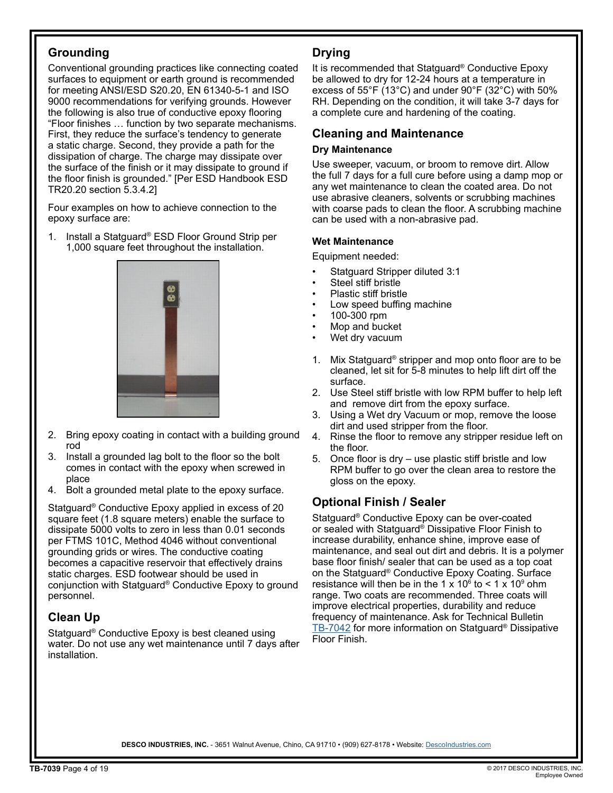# **Grounding**

Conventional grounding practices like connecting coated surfaces to equipment or earth ground is recommended for meeting ANSI/ESD S20.20, EN 61340-5-1 and ISO 9000 recommendations for verifying grounds. However the following is also true of conductive epoxy flooring "Floor finishes … function by two separate mechanisms. First, they reduce the surface's tendency to generate a static charge. Second, they provide a path for the dissipation of charge. The charge may dissipate over the surface of the finish or it may dissipate to ground if the floor finish is grounded." [Per ESD Handbook ESD TR20.20 section 5.3.4.2]

Four examples on how to achieve connection to the epoxy surface are:

1. Install a Statguard® ESD Floor Ground Strip per 1,000 square feet throughout the installation.



- 2. Bring epoxy coating in contact with a building ground rod
- 3. Install a grounded lag bolt to the floor so the bolt comes in contact with the epoxy when screwed in place
- 4. Bolt a grounded metal plate to the epoxy surface.

Statguard® Conductive Epoxy applied in excess of 20 square feet (1.8 square meters) enable the surface to dissipate 5000 volts to zero in less than 0.01 seconds per FTMS 101C, Method 4046 without conventional grounding grids or wires. The conductive coating becomes a capacitive reservoir that effectively drains static charges. ESD footwear should be used in conjunction with Statguard® Conductive Epoxy to ground personnel.

# **Clean Up**

Statguard® Conductive Epoxy is best cleaned using water. Do not use any wet maintenance until 7 days after installation.

# **Drying**

It is recommended that Statguard® Conductive Epoxy be allowed to dry for 12-24 hours at a temperature in excess of 55°F (13°C) and under 90°F (32°C) with 50% RH. Depending on the condition, it will take 3-7 days for a complete cure and hardening of the coating.

# **Cleaning and Maintenance**

### **Dry Maintenance**

Use sweeper, vacuum, or broom to remove dirt. Allow the full 7 days for a full cure before using a damp mop or any wet maintenance to clean the coated area. Do not use abrasive cleaners, solvents or scrubbing machines with coarse pads to clean the floor. A scrubbing machine can be used with a non-abrasive pad.

### **Wet Maintenance**

Equipment needed:

- Statguard Stripper diluted 3:1
- Steel stiff bristle
- Plastic stiff bristle
- Low speed buffing machine
- 100-300 rpm
- Mop and bucket
- Wet dry vacuum
- 1. Mix Statguard® stripper and mop onto floor are to be cleaned, let sit for 5-8 minutes to help lift dirt off the surface.
- 2. Use Steel stiff bristle with low RPM buffer to help left and remove dirt from the epoxy surface.
- 3. Using a Wet dry Vacuum or mop, remove the loose dirt and used stripper from the floor.
- 4. Rinse the floor to remove any stripper residue left on the floor.
- 5. Once floor is dry use plastic stiff bristle and low RPM buffer to go over the clean area to restore the gloss on the epoxy.

# **Optional Finish / Sealer**

Statguard® Conductive Epoxy can be over-coated or sealed with Statguard® Dissipative Floor Finish to increase durability, enhance shine, improve ease of maintenance, and seal out dirt and debris. It is a polymer base floor finish/ sealer that can be used as a top coat on the Statguard® Conductive Epoxy Coating. Surface resistance will then be in the 1 x 10 $\degree$  to < 1 x 10 $\degree$  ohm range. Two coats are recommended. Three coats will improve electrical properties, durability and reduce frequency of maintenance. Ask for Technical Bulletin [TB-7042](http://www.descoindustries.com/pdf/TB-7042.pdf) for more information on Statguard® Dissipative Floor Finish.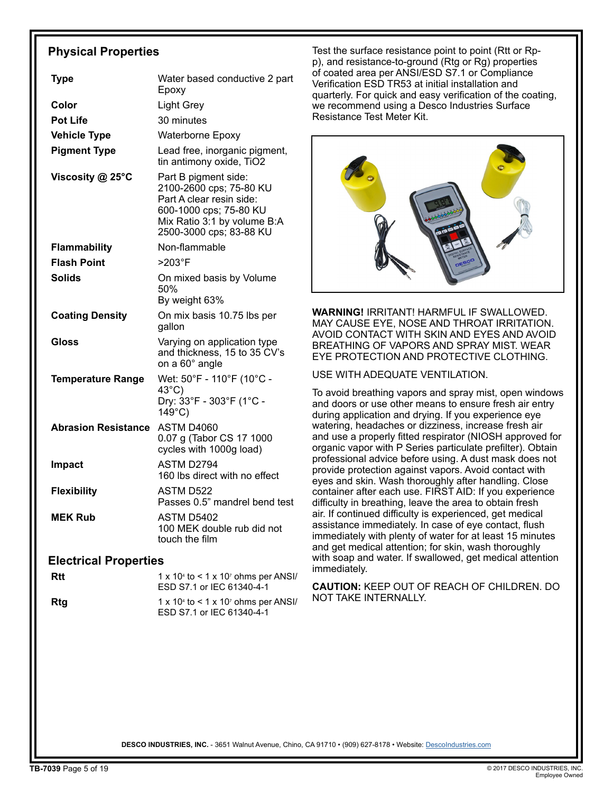# **Physical Properties**

| <b>Type</b>                  | Water based conductive 2 part<br>Epoxy                                                                                                                          |  |
|------------------------------|-----------------------------------------------------------------------------------------------------------------------------------------------------------------|--|
| Color                        | Light Grey                                                                                                                                                      |  |
| <b>Pot Life</b>              | 30 minutes                                                                                                                                                      |  |
| <b>Vehicle Type</b>          | <b>Waterborne Epoxy</b>                                                                                                                                         |  |
| <b>Pigment Type</b>          | Lead free, inorganic pigment,<br>tin antimony oxide, TiO2                                                                                                       |  |
| Viscosity @ 25°C             | Part B pigment side:<br>2100-2600 cps; 75-80 KU<br>Part A clear resin side:<br>600-1000 cps; 75-80 KU<br>Mix Ratio 3:1 by volume B:A<br>2500-3000 cps; 83-88 KU |  |
| <b>Flammability</b>          | Non-flammable                                                                                                                                                   |  |
| <b>Flash Point</b>           | $>203$ °F                                                                                                                                                       |  |
| <b>Solids</b>                | On mixed basis by Volume<br>50%<br>By weight 63%                                                                                                                |  |
| <b>Coating Density</b>       | On mix basis 10.75 lbs per<br>gallon                                                                                                                            |  |
| Gloss                        | Varying on application type<br>and thickness, 15 to 35 CV's<br>on a 60° angle                                                                                   |  |
| <b>Temperature Range</b>     | Wet: 50°F - 110°F (10°C -<br>$43^{\circ}$ C)<br>Dry: 33°F - 303°F (1°C -<br>$149^{\circ}$ C)                                                                    |  |
| <b>Abrasion Resistance</b>   | ASTM D4060<br>0.07 g (Tabor CS 17 1000<br>cycles with 1000g load)                                                                                               |  |
| <b>Impact</b>                | ASTM D2794<br>160 lbs direct with no effect                                                                                                                     |  |
| <b>Flexibility</b>           | <b>ASTM D522</b><br>Passes 0.5" mandrel bend test                                                                                                               |  |
| <b>MEK Rub</b>               | <b>ASTM D5402</b><br>100 MEK double rub did not<br>touch the film                                                                                               |  |
| <b>Electrical Properties</b> |                                                                                                                                                                 |  |
| Rtt                          | 1 x 10 <sup>4</sup> to < 1 x 10 <sup>7</sup> ohms per ANSI/<br>ESD S7.1 or IEC 61340-4-1                                                                        |  |
|                              |                                                                                                                                                                 |  |

**Rtg** 1 x 10<sup>4</sup> to < 1 x 10<sup>7</sup> ohms per ANSI/ ESD S7.1 or IEC 61340-4-1

Test the surface resistance point to point (Rtt or Rpp), and resistance-to-ground (Rtg or Rg) properties of coated area per ANSI/ESD S7.1 or Compliance Verification ESD TR53 at initial installation and quarterly. For quick and easy verification of the coating, we recommend using a Desco Industries Surface Resistance Test Meter Kit.



**WARNING!** IRRITANT! HARMFUL IF SWALLOWED. MAY CAUSE EYE, NOSE AND THROAT IRRITATION. AVOID CONTACT WITH SKIN AND EYES AND AVOID BREATHING OF VAPORS AND SPRAY MIST. WEAR EYE PROTECTION AND PROTECTIVE CLOTHING.

USE WITH ADEQUATE VENTILATION.

To avoid breathing vapors and spray mist, open windows and doors or use other means to ensure fresh air entry during application and drying. If you experience eye watering, headaches or dizziness, increase fresh air and use a properly fitted respirator (NIOSH approved for organic vapor with P Series particulate prefilter). Obtain professional advice before using. A dust mask does not provide protection against vapors. Avoid contact with eyes and skin. Wash thoroughly after handling. Close container after each use. FIRST AID: If you experience difficulty in breathing, leave the area to obtain fresh air. If continued difficulty is experienced, get medical assistance immediately. In case of eye contact, flush immediately with plenty of water for at least 15 minutes and get medical attention; for skin, wash thoroughly with soap and water. If swallowed, get medical attention immediately.

**CAUTION:** KEEP OUT OF REACH OF CHILDREN. DO NOT TAKE INTERNALLY.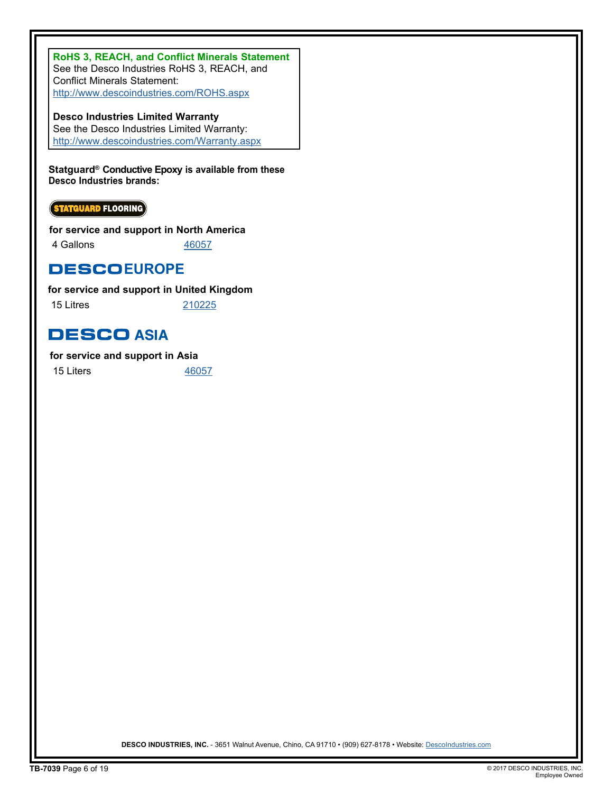**RoHS 3, REACH, and Conflict Minerals Statement** See the Desco Industries RoHS 3, REACH, and Conflict Minerals Statement: http://www.descoindustries.com/ROHS.aspx

**Desco Industries Limited Warranty** See the Desco Industries Limited Warranty: http://www.descoindustries.com/Warranty.aspx

**Statguard® Conductive Epoxy is available from these Desco Industries brands:**

**STATGUARD FLOORING** 

**for service and support in North America**

4 Gallons [46057](http://statguard.descoindustries.com/Search/46057/)

**DESCOEUROPE** 

**for service and support in United Kingdom**

15 Litres [210225](http://www.descoeurope.com/Search/210225/)

# **DESCO ASIA**

**for service and support in Asia**

15 Liters [46057](http://www.descoasia.com/Search/46057)

DESCO INDUSTRIES, INC. - 3651 Walnut Avenue, Chino, CA 91710 • (909) 627-8178 • Website: [DescoIndustries.com](http://www.descoindustries.com)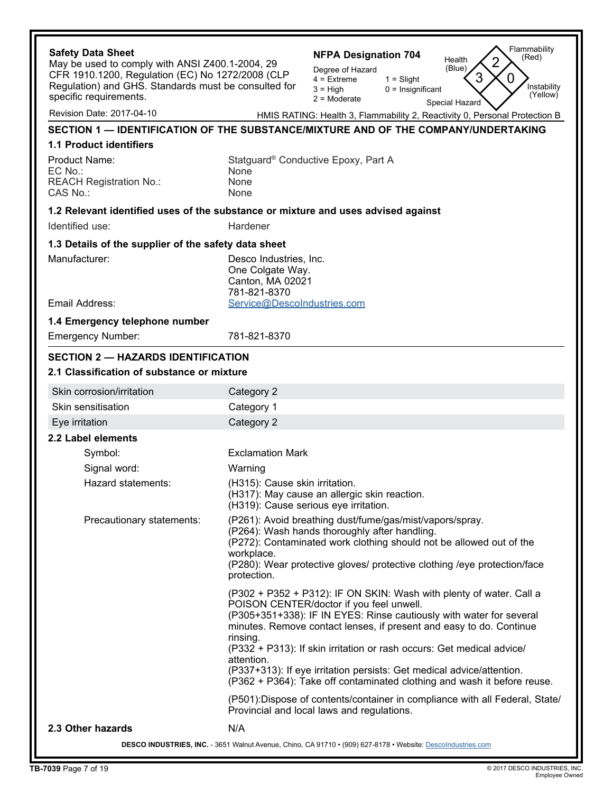| <b>Safety Data Sheet</b>                                                                            | Flammability<br><b>NFPA Designation 704</b><br>(Red)<br>Health                                                             |
|-----------------------------------------------------------------------------------------------------|----------------------------------------------------------------------------------------------------------------------------|
| May be used to comply with ANSI Z400.1-2004, 29<br>CFR 1910.1200, Regulation (EC) No 1272/2008 (CLP | (Blue)<br>Degree of Hazard                                                                                                 |
| Regulation) and GHS. Standards must be consulted for                                                | 3<br>$\Omega$<br>$1 =$ Slight<br>$4$ = Extreme<br>Instability<br>$3 = High$<br>$0 =$ Insignificant                         |
| specific requirements.                                                                              | (Yellow)<br>$2 =$ Moderate<br>Special Hazard                                                                               |
| Revision Date: 2017-04-10                                                                           | HMIS RATING: Health 3, Flammability 2, Reactivity 0, Personal Protection B                                                 |
|                                                                                                     | SECTION 1 — IDENTIFICATION OF THE SUBSTANCE/MIXTURE AND OF THE COMPANY/UNDERTAKING                                         |
| <b>1.1 Product identifiers</b>                                                                      |                                                                                                                            |
| <b>Product Name:</b>                                                                                | Statguard <sup>®</sup> Conductive Epoxy, Part A                                                                            |
| EC No.:                                                                                             | None                                                                                                                       |
| <b>REACH Registration No.:</b><br>CAS No.:                                                          | None<br>None                                                                                                               |
|                                                                                                     |                                                                                                                            |
| Identified use:                                                                                     | 1.2 Relevant identified uses of the substance or mixture and uses advised against<br>Hardener                              |
|                                                                                                     |                                                                                                                            |
| 1.3 Details of the supplier of the safety data sheet                                                |                                                                                                                            |
| Manufacturer:                                                                                       | Desco Industries, Inc.<br>One Colgate Way.                                                                                 |
|                                                                                                     | Canton, MA 02021                                                                                                           |
|                                                                                                     | 781-821-8370                                                                                                               |
| Email Address:                                                                                      | Service@DescoIndustries.com                                                                                                |
| 1.4 Emergency telephone number                                                                      |                                                                                                                            |
| <b>Emergency Number:</b>                                                                            | 781-821-8370                                                                                                               |
| <b>SECTION 2 - HAZARDS IDENTIFICATION</b>                                                           |                                                                                                                            |
| 2.1 Classification of substance or mixture                                                          |                                                                                                                            |
| Skin corrosion/irritation                                                                           | Category 2                                                                                                                 |
| Skin sensitisation                                                                                  | Category 1                                                                                                                 |
| Eye irritation                                                                                      | Category 2                                                                                                                 |
| 2.2 Label elements                                                                                  |                                                                                                                            |
| Symbol:                                                                                             | <b>Exclamation Mark</b>                                                                                                    |
| Signal word:                                                                                        | Warning                                                                                                                    |
| Hazard statements:                                                                                  | (H315): Cause skin irritation.                                                                                             |
|                                                                                                     | (H317): May cause an allergic skin reaction.<br>(H319): Cause serious eye irritation.                                      |
| Precautionary statements:                                                                           | (P261): Avoid breathing dust/fume/gas/mist/vapors/spray.                                                                   |
|                                                                                                     | (P264): Wash hands thoroughly after handling.                                                                              |
|                                                                                                     | (P272): Contaminated work clothing should not be allowed out of the                                                        |
|                                                                                                     | workplace.<br>(P280): Wear protective gloves/ protective clothing /eye protection/face                                     |
|                                                                                                     | protection.                                                                                                                |
|                                                                                                     | (P302 + P352 + P312): IF ON SKIN: Wash with plenty of water. Call a                                                        |
|                                                                                                     | POISON CENTER/doctor if you feel unwell.                                                                                   |
|                                                                                                     | (P305+351+338): IF IN EYES: Rinse cautiously with water for several                                                        |
|                                                                                                     | minutes. Remove contact lenses, if present and easy to do. Continue<br>rinsing.                                            |
|                                                                                                     | (P332 + P313): If skin irritation or rash occurs: Get medical advice/                                                      |
|                                                                                                     | attention.<br>(P337+313): If eye irritation persists: Get medical advice/attention.                                        |
|                                                                                                     | (P362 + P364): Take off contaminated clothing and wash it before reuse.                                                    |
|                                                                                                     | (P501): Dispose of contents/container in compliance with all Federal, State/<br>Provincial and local laws and regulations. |
| 2.3 Other hazards                                                                                   | N/A                                                                                                                        |
|                                                                                                     | DESCO INDUSTRIES, INC. - 3651 Walnut Avenue, Chino, CA 91710 · (909) 627-8178 · Website: Descolndustries.com               |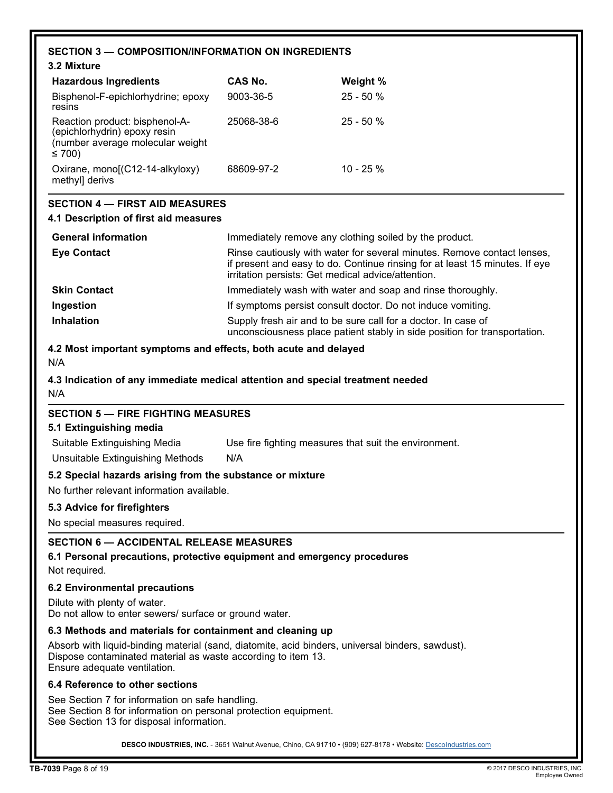|                                                                                                                                                                                                  | <b>SECTION 3 - COMPOSITION/INFORMATION ON INGREDIENTS</b>                                                                                                                                                    |                                                                                                                                            |  |  |
|--------------------------------------------------------------------------------------------------------------------------------------------------------------------------------------------------|--------------------------------------------------------------------------------------------------------------------------------------------------------------------------------------------------------------|--------------------------------------------------------------------------------------------------------------------------------------------|--|--|
| 3.2 Mixture                                                                                                                                                                                      |                                                                                                                                                                                                              |                                                                                                                                            |  |  |
| <b>Hazardous Ingredients</b>                                                                                                                                                                     | CAS No.                                                                                                                                                                                                      | Weight %                                                                                                                                   |  |  |
| Bisphenol-F-epichlorhydrine; epoxy<br>resins                                                                                                                                                     | 9003-36-5                                                                                                                                                                                                    | 25 - 50 %                                                                                                                                  |  |  |
| Reaction product: bisphenol-A-<br>(epichlorhydrin) epoxy resin<br>(number average molecular weight<br>≤ 700)                                                                                     | 25068-38-6                                                                                                                                                                                                   | $25 - 50%$                                                                                                                                 |  |  |
| Oxirane, mono[(C12-14-alkyloxy)<br>methyl] derivs                                                                                                                                                | 68609-97-2                                                                                                                                                                                                   | $10 - 25%$                                                                                                                                 |  |  |
| <b>SECTION 4 - FIRST AID MEASURES</b>                                                                                                                                                            |                                                                                                                                                                                                              |                                                                                                                                            |  |  |
| 4.1 Description of first aid measures                                                                                                                                                            |                                                                                                                                                                                                              |                                                                                                                                            |  |  |
| <b>General information</b>                                                                                                                                                                       |                                                                                                                                                                                                              | Immediately remove any clothing soiled by the product.                                                                                     |  |  |
| <b>Eye Contact</b>                                                                                                                                                                               | Rinse cautiously with water for several minutes. Remove contact lenses,<br>if present and easy to do. Continue rinsing for at least 15 minutes. If eye<br>irritation persists: Get medical advice/attention. |                                                                                                                                            |  |  |
| <b>Skin Contact</b>                                                                                                                                                                              |                                                                                                                                                                                                              | Immediately wash with water and soap and rinse thoroughly.                                                                                 |  |  |
| Ingestion                                                                                                                                                                                        |                                                                                                                                                                                                              | If symptoms persist consult doctor. Do not induce vomiting.                                                                                |  |  |
| Inhalation                                                                                                                                                                                       |                                                                                                                                                                                                              | Supply fresh air and to be sure call for a doctor. In case of<br>unconsciousness place patient stably in side position for transportation. |  |  |
| 4.2 Most important symptoms and effects, both acute and delayed                                                                                                                                  |                                                                                                                                                                                                              |                                                                                                                                            |  |  |
| N/A                                                                                                                                                                                              |                                                                                                                                                                                                              |                                                                                                                                            |  |  |
| 4.3 Indication of any immediate medical attention and special treatment needed<br>N/A                                                                                                            |                                                                                                                                                                                                              |                                                                                                                                            |  |  |
| <b>SECTION 5 - FIRE FIGHTING MEASURES</b>                                                                                                                                                        |                                                                                                                                                                                                              |                                                                                                                                            |  |  |
| 5.1 Extinguishing media                                                                                                                                                                          |                                                                                                                                                                                                              |                                                                                                                                            |  |  |
| Suitable Extinguishing Media                                                                                                                                                                     |                                                                                                                                                                                                              | Use fire fighting measures that suit the environment.                                                                                      |  |  |
| Unsuitable Extinguishing Methods                                                                                                                                                                 | N/A                                                                                                                                                                                                          |                                                                                                                                            |  |  |
| 5.2 Special hazards arising from the substance or mixture                                                                                                                                        |                                                                                                                                                                                                              |                                                                                                                                            |  |  |
| No further relevant information available.                                                                                                                                                       |                                                                                                                                                                                                              |                                                                                                                                            |  |  |
| 5.3 Advice for firefighters                                                                                                                                                                      |                                                                                                                                                                                                              |                                                                                                                                            |  |  |
| No special measures required.                                                                                                                                                                    |                                                                                                                                                                                                              |                                                                                                                                            |  |  |
| <b>SECTION 6 - ACCIDENTAL RELEASE MEASURES</b><br>6.1 Personal precautions, protective equipment and emergency procedures<br>Not required.                                                       |                                                                                                                                                                                                              |                                                                                                                                            |  |  |
| <b>6.2 Environmental precautions</b>                                                                                                                                                             |                                                                                                                                                                                                              |                                                                                                                                            |  |  |
| Dilute with plenty of water.<br>Do not allow to enter sewers/ surface or ground water.                                                                                                           |                                                                                                                                                                                                              |                                                                                                                                            |  |  |
| 6.3 Methods and materials for containment and cleaning up                                                                                                                                        |                                                                                                                                                                                                              |                                                                                                                                            |  |  |
| Absorb with liquid-binding material (sand, diatomite, acid binders, universal binders, sawdust).<br>Dispose contaminated material as waste according to item 13.<br>Ensure adequate ventilation. |                                                                                                                                                                                                              |                                                                                                                                            |  |  |
| 6.4 Reference to other sections                                                                                                                                                                  |                                                                                                                                                                                                              |                                                                                                                                            |  |  |
| See Section 7 for information on safe handling.<br>See Section 8 for information on personal protection equipment.<br>See Section 13 for disposal information.                                   |                                                                                                                                                                                                              |                                                                                                                                            |  |  |
|                                                                                                                                                                                                  |                                                                                                                                                                                                              | DESCO INDUSTRIES, INC. - 3651 Walnut Avenue, Chino, CA 91710 · (909) 627-8178 · Website: Descolndustries.com                               |  |  |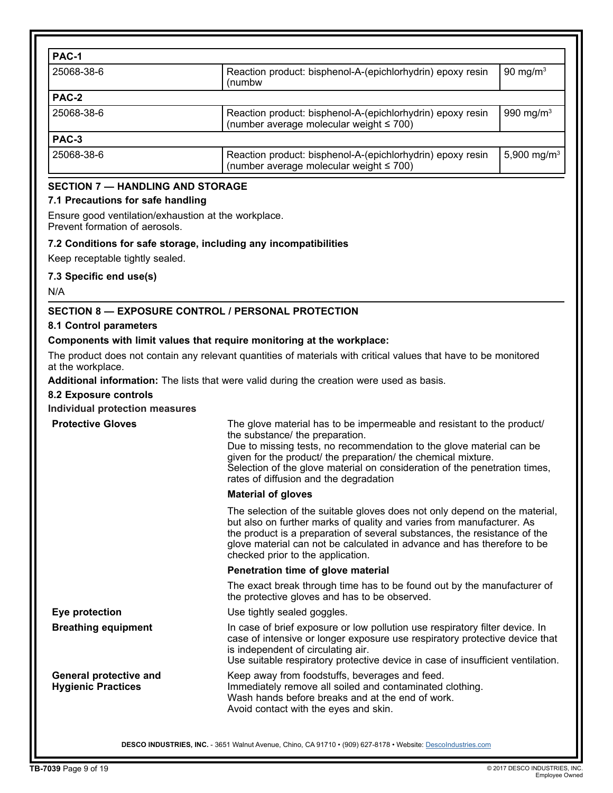| PAC-1      |                                                                                                             |                         |
|------------|-------------------------------------------------------------------------------------------------------------|-------------------------|
| 25068-38-6 | Reaction product: bisphenol-A-(epichlorhydrin) epoxy resin<br>(numbw                                        | 90 mg/m $3$             |
| PAC-2      |                                                                                                             |                         |
| 25068-38-6 | Reaction product: bisphenol-A-(epichlorhydrin) epoxy resin<br>(number average molecular weight $\leq 700$ ) | 990 mg/m $3$            |
| PAC-3      |                                                                                                             |                         |
| 25068-38-6 | Reaction product: bisphenol-A-(epichlorhydrin) epoxy resin<br>(number average molecular weight $\leq 700$ ) | 5,900 mg/m <sup>3</sup> |

# **SECTION 7 — HANDLING AND STORAGE**

### **7.1 Precautions for safe handling**

Ensure good ventilation/exhaustion at the workplace. Prevent formation of aerosols.

### **7.2 Conditions for safe storage, including any incompatibilities**

Keep receptable tightly sealed.

### **7.3 Specific end use(s)**

N/A

### **SECTION 8 — EXPOSURE CONTROL / PERSONAL PROTECTION**

**8.1 Control parameters**

### **Components with limit values that require monitoring at the workplace:**

The product does not contain any relevant quantities of materials with critical values that have to be monitored at the workplace.

**Additional information:** The lists that were valid during the creation were used as basis.

**8.2 Exposure controls**

### **Individual protection measures**

| <b>Protective Gloves</b>                            | The glove material has to be impermeable and resistant to the product/<br>the substance/ the preparation.<br>Due to missing tests, no recommendation to the glove material can be<br>given for the product/ the preparation/ the chemical mixture.<br>Selection of the glove material on consideration of the penetration times,<br>rates of diffusion and the degradation |  |
|-----------------------------------------------------|----------------------------------------------------------------------------------------------------------------------------------------------------------------------------------------------------------------------------------------------------------------------------------------------------------------------------------------------------------------------------|--|
|                                                     | <b>Material of gloves</b>                                                                                                                                                                                                                                                                                                                                                  |  |
|                                                     | The selection of the suitable gloves does not only depend on the material,<br>but also on further marks of quality and varies from manufacturer. As<br>the product is a preparation of several substances, the resistance of the<br>glove material can not be calculated in advance and has therefore to be<br>checked prior to the application.                           |  |
|                                                     | Penetration time of glove material                                                                                                                                                                                                                                                                                                                                         |  |
|                                                     | The exact break through time has to be found out by the manufacturer of<br>the protective gloves and has to be observed.                                                                                                                                                                                                                                                   |  |
| Eye protection                                      | Use tightly sealed goggles.                                                                                                                                                                                                                                                                                                                                                |  |
| <b>Breathing equipment</b>                          | In case of brief exposure or low pollution use respiratory filter device. In<br>case of intensive or longer exposure use respiratory protective device that<br>is independent of circulating air.<br>Use suitable respiratory protective device in case of insufficient ventilation.                                                                                       |  |
| General protective and<br><b>Hygienic Practices</b> | Keep away from foodstuffs, beverages and feed.<br>Immediately remove all soiled and contaminated clothing.<br>Wash hands before breaks and at the end of work.<br>Avoid contact with the eyes and skin.                                                                                                                                                                    |  |
|                                                     |                                                                                                                                                                                                                                                                                                                                                                            |  |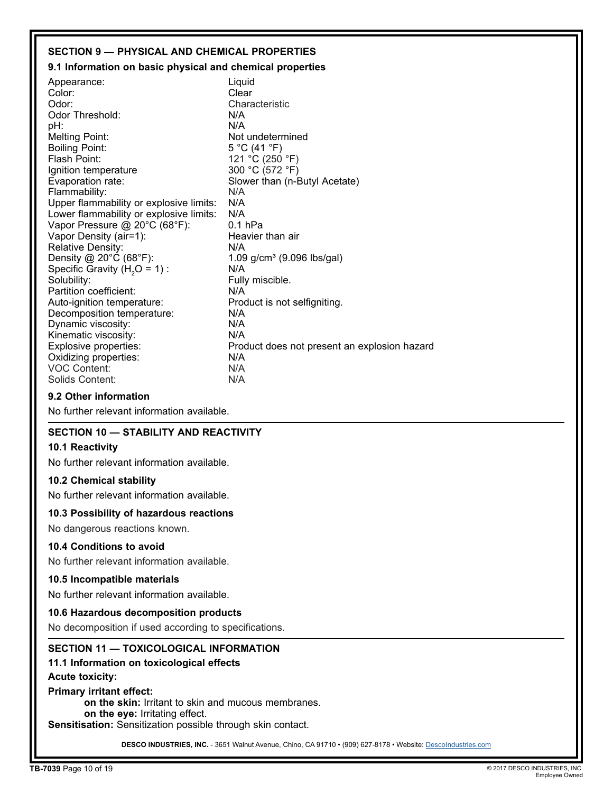### **SECTION 9 — PHYSICAL AND CHEMICAL PROPERTIES**

### **9.1 Information on basic physical and chemical properties**

| Appearance:                             | Liquid                                       |
|-----------------------------------------|----------------------------------------------|
| Color:                                  | Clear                                        |
| Odor:                                   | Characteristic                               |
| Odor Threshold:                         | N/A                                          |
| pH:                                     | N/A                                          |
| <b>Melting Point:</b>                   | Not undetermined                             |
| <b>Boiling Point:</b>                   | 5 °C (41 °F)                                 |
| Flash Point:                            | 121 °C (250 °F)                              |
| Ignition temperature                    | 300 °C (572 °F)                              |
| Evaporation rate:                       | Slower than (n-Butyl Acetate)                |
| Flammability:                           | N/A                                          |
| Upper flammability or explosive limits: | N/A                                          |
| Lower flammability or explosive limits: | N/A                                          |
| Vapor Pressure @ 20°C (68°F):           | $0.1$ hPa                                    |
| Vapor Density (air=1):                  | Heavier than air                             |
| <b>Relative Density:</b>                | N/A                                          |
| Density @ 20°C (68°F):                  | 1.09 g/cm <sup>3</sup> (9.096 lbs/gal)       |
| Specific Gravity $(H2O = 1)$ :          | N/A                                          |
| Solubility:                             | Fully miscible.                              |
| Partition coefficient:                  | N/A                                          |
| Auto-ignition temperature:              | Product is not selfigniting.                 |
| Decomposition temperature:              | N/A                                          |
| Dynamic viscosity:                      | N/A                                          |
| Kinematic viscosity:                    | N/A                                          |
| Explosive properties:                   | Product does not present an explosion hazard |
|                                         |                                              |
|                                         | N/A                                          |
| Solids Content:                         | N/A                                          |
| Oxidizing properties:<br>VOC Content:   | N/A                                          |

### **9.2 Other information**

No further relevant information available.

### **SECTION 10 — STABILITY AND REACTIVITY**

### **10.1 Reactivity**

No further relevant information available.

### **10.2 Chemical stability**

No further relevant information available.

### **10.3 Possibility of hazardous reactions**

No dangerous reactions known.

### **10.4 Conditions to avoid**

No further relevant information available.

### **10.5 Incompatible materials**

No further relevant information available.

### **10.6 Hazardous decomposition products**

No decomposition if used according to specifications.

### **SECTION 11 — TOXICOLOGICAL INFORMATION**

### **11.1 Information on toxicological effects**

### **Acute toxicity:**

### **Primary irritant effect:**

**on the skin:** Irritant to skin and mucous membranes.

**on the eye:** Irritating effect.

**Sensitisation:** Sensitization possible through skin contact.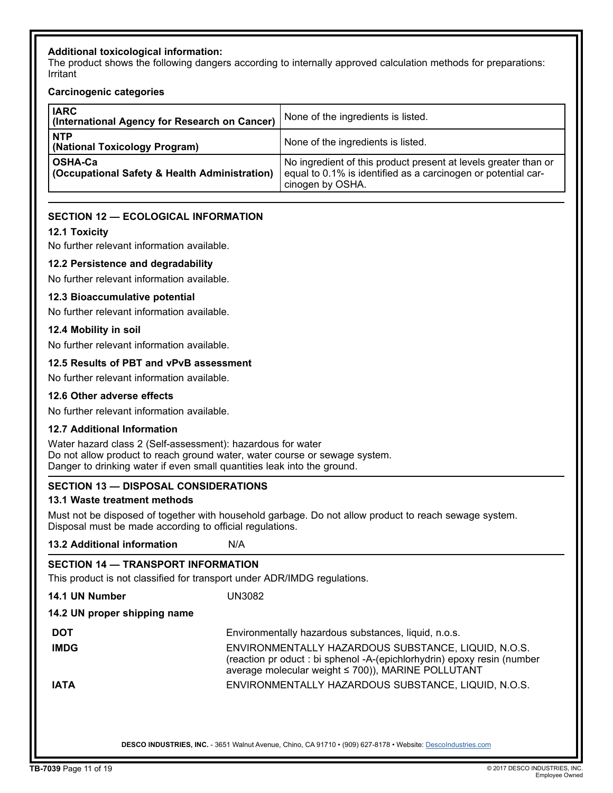### **Additional toxicological information:**

The product shows the following dangers according to internally approved calculation methods for preparations: Irritant

### **Carcinogenic categories**

| <b>IARC</b><br>(International Agency for Research on Cancer)        | None of the ingredients is listed.                                                                                                                   |
|---------------------------------------------------------------------|------------------------------------------------------------------------------------------------------------------------------------------------------|
| <b>NTP</b><br>(National Toxicology Program)                         | None of the ingredients is listed.                                                                                                                   |
| OSHA-Ca<br><b>(Occupational Safety &amp; Health Administration)</b> | No ingredient of this product present at levels greater than or<br>equal to 0.1% is identified as a carcinogen or potential car-<br>cinogen by OSHA. |

### **SECTION 12 — ECOLOGICAL INFORMATION**

### **12.1 Toxicity**

No further relevant information available.

### **12.2 Persistence and degradability**

No further relevant information available.

### **12.3 Bioaccumulative potential**

No further relevant information available.

### **12.4 Mobility in soil**

No further relevant information available.

### **12.5 Results of PBT and vPvB assessment**

No further relevant information available.

### **12.6 Other adverse effects**

No further relevant information available.

### **12.7 Additional Information**

Water hazard class 2 (Self-assessment): hazardous for water Do not allow product to reach ground water, water course or sewage system. Danger to drinking water if even small quantities leak into the ground.

### **SECTION 13 — DISPOSAL CONSIDERATIONS**

### **13.1 Waste treatment methods**

Must not be disposed of together with household garbage. Do not allow product to reach sewage system. Disposal must be made according to official regulations.

**13.2 Additional information** N/A

| SECTION 14 - TRANSPORT INFORMATION<br>This product is not classified for transport under ADR/IMDG regulations. |                                                                                                                                                                                      |  |  |  |
|----------------------------------------------------------------------------------------------------------------|--------------------------------------------------------------------------------------------------------------------------------------------------------------------------------------|--|--|--|
| 14.1 UN Number                                                                                                 | UN3082                                                                                                                                                                               |  |  |  |
| 14.2 UN proper shipping name                                                                                   |                                                                                                                                                                                      |  |  |  |
| <b>DOT</b>                                                                                                     | Environmentally hazardous substances, liquid, n.o.s.                                                                                                                                 |  |  |  |
| <b>IMDG</b>                                                                                                    | ENVIRONMENTALLY HAZARDOUS SUBSTANCE, LIQUID, N.O.S.<br>(reaction pr oduct : bi sphenol -A-(epichlorhydrin) epoxy resin (number<br>average molecular weight ≤ 700)), MARINE POLLUTANT |  |  |  |
| <b>IATA</b>                                                                                                    | ENVIRONMENTALLY HAZARDOUS SUBSTANCE, LIQUID, N.O.S.                                                                                                                                  |  |  |  |
|                                                                                                                |                                                                                                                                                                                      |  |  |  |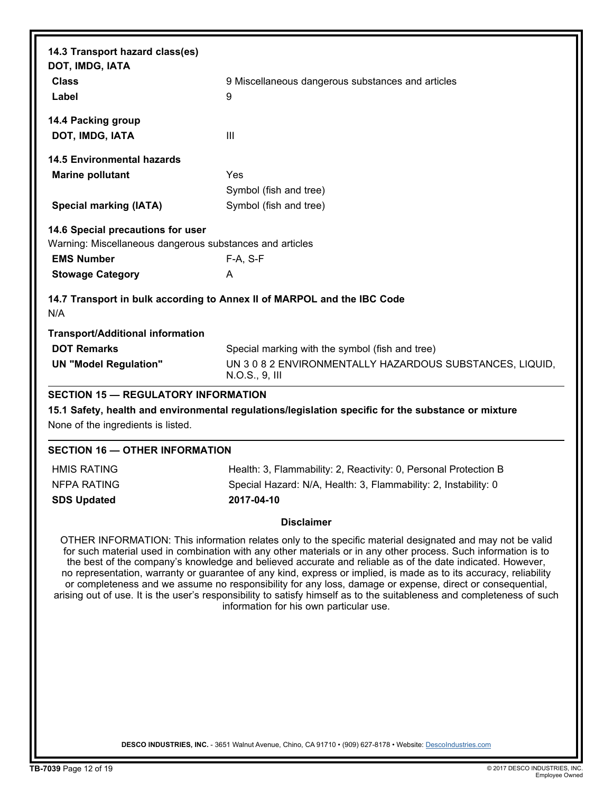| 9 Miscellaneous dangerous substances and articles<br>9                                                    |
|-----------------------------------------------------------------------------------------------------------|
|                                                                                                           |
|                                                                                                           |
| $\mathbf{III}$                                                                                            |
|                                                                                                           |
| Yes                                                                                                       |
| Symbol (fish and tree)                                                                                    |
| Symbol (fish and tree)                                                                                    |
|                                                                                                           |
| Warning: Miscellaneous dangerous substances and articles                                                  |
| F-A, S-F                                                                                                  |
| A                                                                                                         |
| 14.7 Transport in bulk according to Annex II of MARPOL and the IBC Code                                   |
|                                                                                                           |
| Special marking with the symbol (fish and tree)                                                           |
| UN 3 0 8 2 ENVIRONMENTALLY HAZARDOUS SUBSTANCES, LIQUID,<br>N.O.S., 9, III                                |
| <b>SECTION 15 - REGULATORY INFORMATION</b>                                                                |
| 15.1 Safety, health and environmental regulations/legislation specific for the substance or mixture       |
|                                                                                                           |
| <b>SECTION 16 - OTHER INFORMATION</b>                                                                     |
| Health: 3, Flammability: 2, Reactivity: 0, Personal Protection B                                          |
| Special Hazard: N/A, Health: 3, Flammability: 2, Instability: 0                                           |
| 2017-04-10                                                                                                |
| <b>Disclaimer</b>                                                                                         |
| OTHER INFORMATION: This information relates only to the specific material designated and may not be valid |
|                                                                                                           |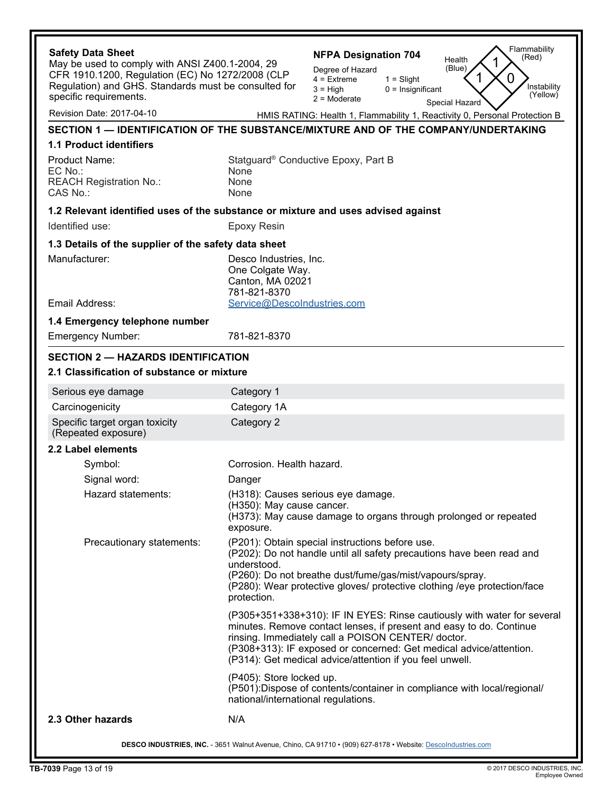| <b>Safety Data Sheet</b><br>May be used to comply with ANSI Z400.1-2004, 29<br>CFR 1910.1200, Regulation (EC) No 1272/2008 (CLP<br>Regulation) and GHS. Standards must be consulted for<br>specific requirements. | Flammability<br><b>NFPA Designation 704</b><br>(Red)<br>Health<br>(Blue)<br>Degree of Hazard<br>O<br>$4 =$ Extreme<br>$1 =$ Slight<br>Instability<br>$3 = High$<br>$0 =$ Insignificant<br>(Yellow)<br>$2 =$ Moderate<br>Special Hazard                                                                                                 |  |  |
|-------------------------------------------------------------------------------------------------------------------------------------------------------------------------------------------------------------------|----------------------------------------------------------------------------------------------------------------------------------------------------------------------------------------------------------------------------------------------------------------------------------------------------------------------------------------|--|--|
| Revision Date: 2017-04-10                                                                                                                                                                                         | HMIS RATING: Health 1, Flammability 1, Reactivity 0, Personal Protection B                                                                                                                                                                                                                                                             |  |  |
|                                                                                                                                                                                                                   | SECTION 1 — IDENTIFICATION OF THE SUBSTANCE/MIXTURE AND OF THE COMPANY/UNDERTAKING                                                                                                                                                                                                                                                     |  |  |
| <b>1.1 Product identifiers</b>                                                                                                                                                                                    |                                                                                                                                                                                                                                                                                                                                        |  |  |
| Product Name:<br>EC No.:<br><b>REACH Registration No.:</b><br>CAS No.:                                                                                                                                            | Statguard <sup>®</sup> Conductive Epoxy, Part B<br>None<br>None<br>None                                                                                                                                                                                                                                                                |  |  |
|                                                                                                                                                                                                                   | 1.2 Relevant identified uses of the substance or mixture and uses advised against                                                                                                                                                                                                                                                      |  |  |
| Identified use:                                                                                                                                                                                                   | <b>Epoxy Resin</b>                                                                                                                                                                                                                                                                                                                     |  |  |
| 1.3 Details of the supplier of the safety data sheet                                                                                                                                                              |                                                                                                                                                                                                                                                                                                                                        |  |  |
| Manufacturer:<br>Email Address:                                                                                                                                                                                   | Desco Industries, Inc.<br>One Colgate Way.<br>Canton, MA 02021<br>781-821-8370<br>Service@DescoIndustries.com                                                                                                                                                                                                                          |  |  |
|                                                                                                                                                                                                                   |                                                                                                                                                                                                                                                                                                                                        |  |  |
| 1.4 Emergency telephone number<br><b>Emergency Number:</b>                                                                                                                                                        | 781-821-8370                                                                                                                                                                                                                                                                                                                           |  |  |
| <b>SECTION 2 - HAZARDS IDENTIFICATION</b><br>2.1 Classification of substance or mixture                                                                                                                           |                                                                                                                                                                                                                                                                                                                                        |  |  |
| Serious eye damage                                                                                                                                                                                                | Category 1                                                                                                                                                                                                                                                                                                                             |  |  |
| Carcinogenicity                                                                                                                                                                                                   | Category 1A                                                                                                                                                                                                                                                                                                                            |  |  |
| Specific target organ toxicity<br>(Repeated exposure)                                                                                                                                                             | Category 2                                                                                                                                                                                                                                                                                                                             |  |  |
| 2.2 Label elements                                                                                                                                                                                                |                                                                                                                                                                                                                                                                                                                                        |  |  |
| Symbol:                                                                                                                                                                                                           | Corrosion. Health hazard.                                                                                                                                                                                                                                                                                                              |  |  |
| Signal word:                                                                                                                                                                                                      | Danger                                                                                                                                                                                                                                                                                                                                 |  |  |
| Hazard statements:                                                                                                                                                                                                | (H318): Causes serious eye damage.<br>(H350): May cause cancer.<br>(H373): May cause damage to organs through prolonged or repeated<br>exposure.                                                                                                                                                                                       |  |  |
| Precautionary statements:                                                                                                                                                                                         | (P201): Obtain special instructions before use.<br>(P202): Do not handle until all safety precautions have been read and<br>understood.<br>(P260): Do not breathe dust/fume/gas/mist/vapours/spray.<br>(P280): Wear protective gloves/ protective clothing /eye protection/face<br>protection.                                         |  |  |
|                                                                                                                                                                                                                   | (P305+351+338+310): IF IN EYES: Rinse cautiously with water for several<br>minutes. Remove contact lenses, if present and easy to do. Continue<br>rinsing. Immediately call a POISON CENTER/ doctor.<br>(P308+313): IF exposed or concerned: Get medical advice/attention.<br>(P314): Get medical advice/attention if you feel unwell. |  |  |
|                                                                                                                                                                                                                   | (P405): Store locked up.<br>(P501): Dispose of contents/container in compliance with local/regional/<br>national/international regulations.                                                                                                                                                                                            |  |  |
| 2.3 Other hazards                                                                                                                                                                                                 | N/A                                                                                                                                                                                                                                                                                                                                    |  |  |
| DESCO INDUSTRIES, INC. - 3651 Walnut Avenue, Chino, CA 91710 • (909) 627-8178 • Website: Descolndustries.com                                                                                                      |                                                                                                                                                                                                                                                                                                                                        |  |  |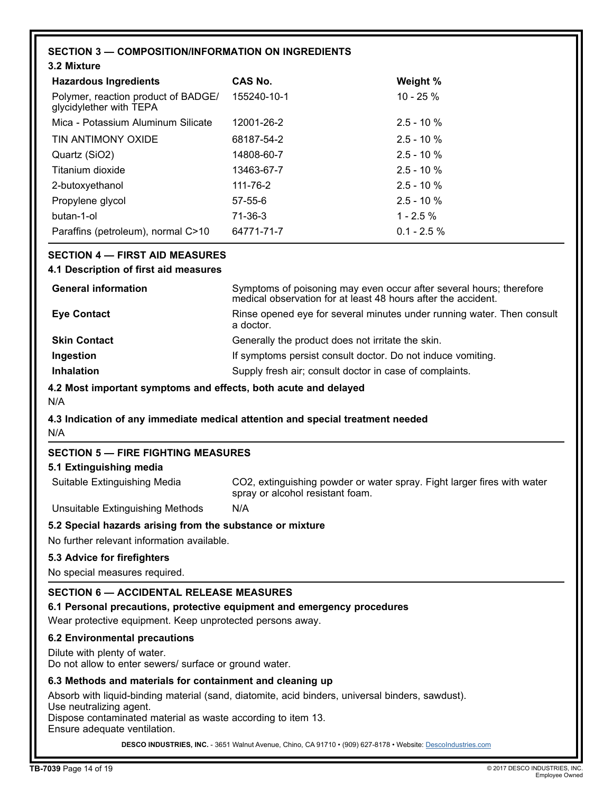# **SECTION 3 — COMPOSITION/INFORMATION ON INGREDIENTS**

| 3.2 Mixture                                                    |               |                |
|----------------------------------------------------------------|---------------|----------------|
| <b>Hazardous Ingredients</b>                                   | CAS No.       | Weight %       |
| Polymer, reaction product of BADGE/<br>glycidylether with TEPA | 155240-10-1   | 10 - 25 %      |
| Mica - Potassium Aluminum Silicate                             | 12001-26-2    | $2.5 - 10%$    |
| TIN ANTIMONY OXIDE                                             | 68187-54-2    | $2.5 - 10%$    |
| Quartz (SiO2)                                                  | 14808-60-7    | $2.5 - 10%$    |
| Titanium dioxide                                               | 13463-67-7    | $2.5 - 10%$    |
| 2-butoxyethanol                                                | 111-76-2      | $2.5 - 10%$    |
| Propylene glycol                                               | $57 - 55 - 6$ | $2.5 - 10%$    |
| butan-1-ol                                                     | 71-36-3       | $1 - 2.5 \%$   |
| Paraffins (petroleum), normal C>10                             | 64771-71-7    | $0.1 - 2.5 \%$ |

### **SECTION 4 — FIRST AID MEASURES**

### **4.1 Description of first aid measures**

| <b>General information</b> | Symptoms of poisoning may even occur after several hours; therefore<br>medical observation for at least 48 hours after the accident. |
|----------------------------|--------------------------------------------------------------------------------------------------------------------------------------|
| <b>Eye Contact</b>         | Rinse opened eye for several minutes under running water. Then consult<br>a doctor.                                                  |
| <b>Skin Contact</b>        | Generally the product does not irritate the skin.                                                                                    |
| Ingestion                  | If symptoms persist consult doctor. Do not induce vomiting.                                                                          |
| <b>Inhalation</b>          | Supply fresh air; consult doctor in case of complaints.                                                                              |

### **4.2 Most important symptoms and effects, both acute and delayed**

N/A

# **4.3 Indication of any immediate medical attention and special treatment needed**

N/A

### **SECTION 5 — FIRE FIGHTING MEASURES**

### **5.1 Extinguishing media**

| Suitable Extinguishing Media | CO2, extinguishing powder or water spray. Fight larger fires with water<br>spray or alcohol resistant foam. |
|------------------------------|-------------------------------------------------------------------------------------------------------------|
|------------------------------|-------------------------------------------------------------------------------------------------------------|

Unsuitable Extinguishing Methods N/A

### **5.2 Special hazards arising from the substance or mixture**

No further relevant information available.

### **5.3 Advice for firefighters**

No special measures required.

### **SECTION 6 — ACCIDENTAL RELEASE MEASURES**

**6.1 Personal precautions, protective equipment and emergency procedures**

Wear protective equipment. Keep unprotected persons away.

### **6.2 Environmental precautions**

Dilute with plenty of water.

Do not allow to enter sewers/ surface or ground water.

### **6.3 Methods and materials for containment and cleaning up**

Absorb with liquid-binding material (sand, diatomite, acid binders, universal binders, sawdust). Use neutralizing agent.

Dispose contaminated material as waste according to item 13.

Ensure adequate ventilation.

DESCO INDUSTRIES, INC. - 3651 Walnut Avenue, Chino, CA 91710 • (909) 627-8178 • Website: [DescoIndustries.com](http://www.descoindustries.com)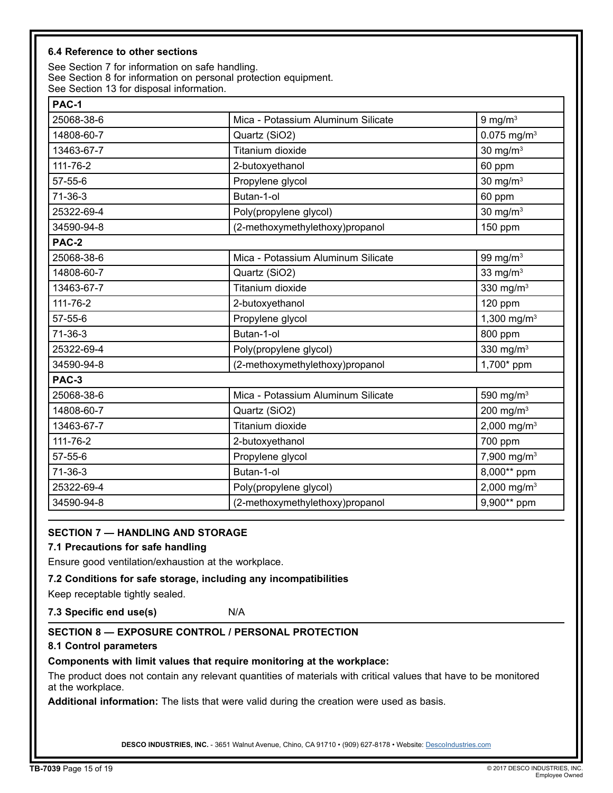### **6.4 Reference to other sections**

See Section 7 for information on safe handling. See Section 8 for information on personal protection equipment. See Section 13 for disposal information.

| PAC-1      |                                    |                           |
|------------|------------------------------------|---------------------------|
| 25068-38-6 | Mica - Potassium Aluminum Silicate | $9$ mg/m $3$              |
| 14808-60-7 | Quartz (SiO2)                      | $0.075$ mg/m <sup>3</sup> |
| 13463-67-7 | Titanium dioxide                   | $30$ mg/m <sup>3</sup>    |
| 111-76-2   | 2-butoxyethanol                    | 60 ppm                    |
| 57-55-6    | Propylene glycol                   | $30$ mg/m <sup>3</sup>    |
| 71-36-3    | Butan-1-ol                         | 60 ppm                    |
| 25322-69-4 | Poly(propylene glycol)             | 30 mg/ $m3$               |
| 34590-94-8 | (2-methoxymethylethoxy)propanol    | 150 ppm                   |
| PAC-2      |                                    |                           |
| 25068-38-6 | Mica - Potassium Aluminum Silicate | 99 mg/ $m3$               |
| 14808-60-7 | Quartz (SiO2)                      | 33 mg/ $m3$               |
| 13463-67-7 | Titanium dioxide                   | 330 mg/ $m3$              |
| 111-76-2   | 2-butoxyethanol                    | 120 ppm                   |
| 57-55-6    | Propylene glycol                   | 1,300 mg/m $3$            |
| 71-36-3    | Butan-1-ol                         | 800 ppm                   |
| 25322-69-4 | Poly(propylene glycol)             | 330 mg/ $m3$              |
| 34590-94-8 | (2-methoxymethylethoxy)propanol    | 1,700* ppm                |
| PAC-3      |                                    |                           |
| 25068-38-6 | Mica - Potassium Aluminum Silicate | 590 mg/m <sup>3</sup>     |
| 14808-60-7 | Quartz (SiO2)                      | 200 mg/m $3$              |
| 13463-67-7 | <b>Titanium dioxide</b>            | 2,000 mg/m <sup>3</sup>   |
| 111-76-2   | 2-butoxyethanol                    | 700 ppm                   |
| 57-55-6    | Propylene glycol                   | 7,900 mg/m <sup>3</sup>   |
| 71-36-3    | Butan-1-ol                         | 8,000** ppm               |
| 25322-69-4 | Poly(propylene glycol)             | 2,000 mg/m <sup>3</sup>   |
| 34590-94-8 | (2-methoxymethylethoxy)propanol    | 9,900** ppm               |

### **SECTION 7 — HANDLING AND STORAGE**

### **7.1 Precautions for safe handling**

Ensure good ventilation/exhaustion at the workplace.

### **7.2 Conditions for safe storage, including any incompatibilities**

Keep receptable tightly sealed.

**7.3 Specific end use(s)** N/A

### **SECTION 8 — EXPOSURE CONTROL / PERSONAL PROTECTION**

### **8.1 Control parameters**

### **Components with limit values that require monitoring at the workplace:**

The product does not contain any relevant quantities of materials with critical values that have to be monitored at the workplace.

**Additional information:** The lists that were valid during the creation were used as basis.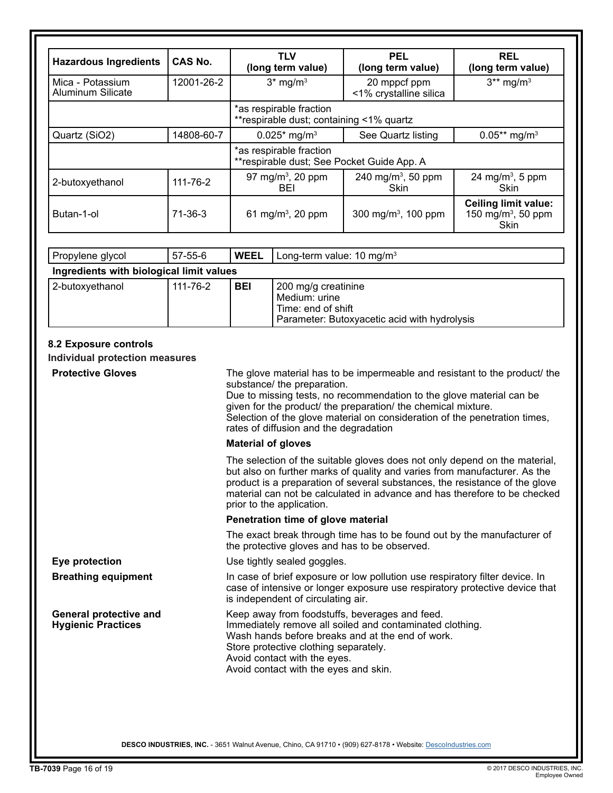| <b>Hazardous Ingredients</b>          | <b>CAS No.</b> | <b>TLV</b><br>(long term value)                                       | <b>PEL</b><br>(long term value)        | <b>REL</b><br>(long term value)                                       |
|---------------------------------------|----------------|-----------------------------------------------------------------------|----------------------------------------|-----------------------------------------------------------------------|
| Mica - Potassium<br>Aluminum Silicate | 12001-26-2     | $3*$ mg/m <sup>3</sup>                                                | 20 mppcf ppm<br><1% crystalline silica | $3**$ mg/m <sup>3</sup>                                               |
|                                       |                | *as respirable fraction<br>**respirable dust; containing <1% quartz   |                                        |                                                                       |
| Quartz (SiO2)                         | 14808-60-7     | $0.025*$ mg/m <sup>3</sup>                                            | See Quartz listing                     | $0.05**$ mg/m <sup>3</sup>                                            |
|                                       |                | *as respirable fraction<br>**respirable dust; See Pocket Guide App. A |                                        |                                                                       |
| 2-butoxyethanol                       | 111-76-2       | 97 mg/m <sup>3</sup> , 20 ppm<br>BEI                                  | 240 mg/m <sup>3</sup> , 50 ppm<br>Skin | 24 mg/m <sup>3</sup> , 5 ppm<br><b>Skin</b>                           |
| Butan-1-ol                            | $71 - 36 - 3$  | 61 mg/m <sup>3</sup> , 20 ppm                                         | 300 mg/m <sup>3</sup> , 100 ppm        | <b>Ceiling limit value:</b><br>150 mg/m <sup>3</sup> , 50 ppm<br>Skin |

| Propylene glycol                         | 57-55-6  | <b>WEEL</b> | Long-term value: 10 mg/m <sup>3</sup>                                                                      |
|------------------------------------------|----------|-------------|------------------------------------------------------------------------------------------------------------|
| Ingredients with biological limit values |          |             |                                                                                                            |
| 2-butoxyethanol                          | 111-76-2 | <b>BEI</b>  | 200 mg/g creatinine<br>Medium: urine<br>Time: end of shift<br>Parameter: Butoxyacetic acid with hydrolysis |

# **8.2 Exposure controls**

**Individual protection measures**

| <b>Protective Gloves</b>                                   | The glove material has to be impermeable and resistant to the product/ the<br>substance/ the preparation.<br>Due to missing tests, no recommendation to the glove material can be<br>given for the product/ the preparation/ the chemical mixture.<br>Selection of the glove material on consideration of the penetration times,<br>rates of diffusion and the degradation |
|------------------------------------------------------------|----------------------------------------------------------------------------------------------------------------------------------------------------------------------------------------------------------------------------------------------------------------------------------------------------------------------------------------------------------------------------|
|                                                            | <b>Material of gloves</b>                                                                                                                                                                                                                                                                                                                                                  |
|                                                            | The selection of the suitable gloves does not only depend on the material,<br>but also on further marks of quality and varies from manufacturer. As the<br>product is a preparation of several substances, the resistance of the glove<br>material can not be calculated in advance and has therefore to be checked<br>prior to the application.                           |
|                                                            | Penetration time of glove material                                                                                                                                                                                                                                                                                                                                         |
|                                                            | The exact break through time has to be found out by the manufacturer of<br>the protective gloves and has to be observed.                                                                                                                                                                                                                                                   |
| Eye protection                                             | Use tightly sealed goggles.                                                                                                                                                                                                                                                                                                                                                |
| <b>Breathing equipment</b>                                 | In case of brief exposure or low pollution use respiratory filter device. In<br>case of intensive or longer exposure use respiratory protective device that<br>is independent of circulating air.                                                                                                                                                                          |
| <b>General protective and</b><br><b>Hygienic Practices</b> | Keep away from foodstuffs, beverages and feed.<br>Immediately remove all soiled and contaminated clothing.<br>Wash hands before breaks and at the end of work.<br>Store protective clothing separately.<br>Avoid contact with the eyes.<br>Avoid contact with the eyes and skin.                                                                                           |
|                                                            |                                                                                                                                                                                                                                                                                                                                                                            |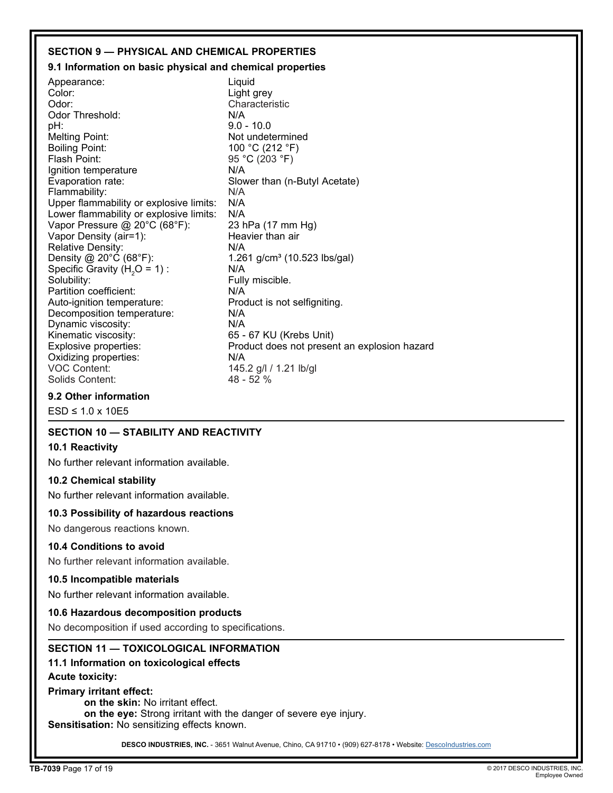### **SECTION 9 — PHYSICAL AND CHEMICAL PROPERTIES**

### **9.1 Information on basic physical and chemical properties**

Appearance: Called Liquid<br>Color: Color: Light Color: Color: Light grey<br>Color: Characteri Characteristic<br>N/A Odor Threshold: pH: 9.0 - 10.0 Melting Point: Not undetermined<br>Boiling Point: 100 °C (212 °F) Boiling Point: 100 °C (212 °F)<br>Flash Point: 100 °C (203 °F) 95 °C (203 °F) Ignition temperature The MISS NOT NOTE:<br>
Evaporation rate: Slow Slower than (n-Butyl Acetate) Flammability: N/A<br>Upper flammability or explosive limits: N/A Upper flammability or explosive limits: N/A<br>Lower flammability or explosive limits: N/A Lower flammability or explosive limits: N/A<br>Vapor Pressure @ 20°C (68°F): 23 hPa (17 mm Hg) Vapor Pressure @ 20°C (68°F): 23 hPa (17 mm<br>Vapor Density (air=1): Beavier than air Vapor Density (air=1): 
Heavier than an air each of the Relative Density: 
N/A Relative Density:<br>Density @ 20°C (68°F):  $1.261$  g/cm<sup>3</sup> (10.523 lbs/gal) Specific Gravity  $(H<sub>2</sub>O = 1)$ :  $N/A$ Solubility: The solubility: The solubility: The solubility: The solution of  $\overline{F}$  and  $\overline{F}$  and  $\overline{F}$  and  $\overline{F}$  and  $\overline{F}$  and  $\overline{F}$  and  $\overline{F}$  and  $\overline{F}$  and  $\overline{F}$  and  $\overline{F}$  and  $\overline{F}$  and  $\over$ Partition coefficient:<br>
Auto-ignition temperature: Product is not selfigniting. Auto-ignition temperature: Production is not self-<br>Decomposition temperature: N/A Decomposition temperature: Dynamic viscosity: N/A Kinematic viscosity: 65 - 67 KU (Krebs Unit)<br>Explosive properties: Froduct does not preser Product does not present an explosion hazard Oxidizing properties: N/A<br>VOC Content: 145. 145.2 g/l / 1.21 lb/gl<br>48 - 52 % Solids Content:

### **9.2 Other information**

 $FSD \leq 1.0 \times 10F5$ 

### **SECTION 10 — STABILITY AND REACTIVITY**

### **10.1 Reactivity**

No further relevant information available.

### **10.2 Chemical stability**

No further relevant information available.

### **10.3 Possibility of hazardous reactions**

No dangerous reactions known.

### **10.4 Conditions to avoid**

No further relevant information available.

### **10.5 Incompatible materials**

No further relevant information available.

### **10.6 Hazardous decomposition products**

No decomposition if used according to specifications.

### **SECTION 11 — TOXICOLOGICAL INFORMATION**

### **11.1 Information on toxicological effects**

**Acute toxicity:**

### **Primary irritant effect:**

**on the skin:** No irritant effect.

**on the eye:** Strong irritant with the danger of severe eye injury.

**Sensitisation:** No sensitizing effects known.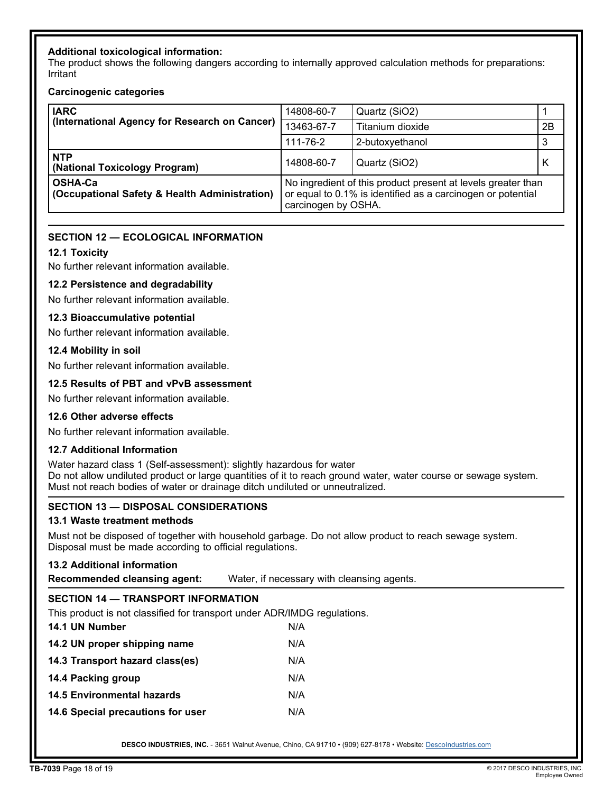### **Additional toxicological information:**

The product shows the following dangers according to internally approved calculation methods for preparations: Irritant

### **Carcinogenic categories**

| <b>IARC</b><br>(International Agency for Research on Cancer)    | 14808-60-7                                                                                                                                         | Quartz (SiO2)    |    |
|-----------------------------------------------------------------|----------------------------------------------------------------------------------------------------------------------------------------------------|------------------|----|
|                                                                 | 13463-67-7                                                                                                                                         | Titanium dioxide | 2B |
|                                                                 | 111-76-2                                                                                                                                           | 2-butoxyethanol  | 3  |
| <b>NTP</b><br>(National Toxicology Program)                     | 14808-60-7                                                                                                                                         | Quartz (SiO2)    | K  |
| <b>OSHA-Ca</b><br>(Occupational Safety & Health Administration) | No ingredient of this product present at levels greater than<br>or equal to 0.1% is identified as a carcinogen or potential<br>carcinogen by OSHA. |                  |    |

### **SECTION 12 — ECOLOGICAL INFORMATION**

### **12.1 Toxicity**

No further relevant information available.

### **12.2 Persistence and degradability**

No further relevant information available.

### **12.3 Bioaccumulative potential**

No further relevant information available.

### **12.4 Mobility in soil**

No further relevant information available.

### **12.5 Results of PBT and vPvB assessment**

No further relevant information available.

### **12.6 Other adverse effects**

No further relevant information available.

### **12.7 Additional Information**

Water hazard class 1 (Self-assessment): slightly hazardous for water Do not allow undiluted product or large quantities of it to reach ground water, water course or sewage system. Must not reach bodies of water or drainage ditch undiluted or unneutralized.

### **SECTION 13 — DISPOSAL CONSIDERATIONS**

### **13.1 Waste treatment methods**

Must not be disposed of together with household garbage. Do not allow product to reach sewage system. Disposal must be made according to official regulations.

### **13.2 Additional information**

**Recommended cleansing agent:** Water, if necessary with cleansing agents.

# **SECTION 14 — TRANSPORT INFORMATION**

This product is not classified for transport under ADR/IMDG regulations.

| 14.1 UN Number                    | N/A |
|-----------------------------------|-----|
| 14.2 UN proper shipping name      | N/A |
| 14.3 Transport hazard class(es)   | N/A |
| 14.4 Packing group                | N/A |
| 14.5 Environmental hazards        | N/A |
| 14.6 Special precautions for user | N/A |